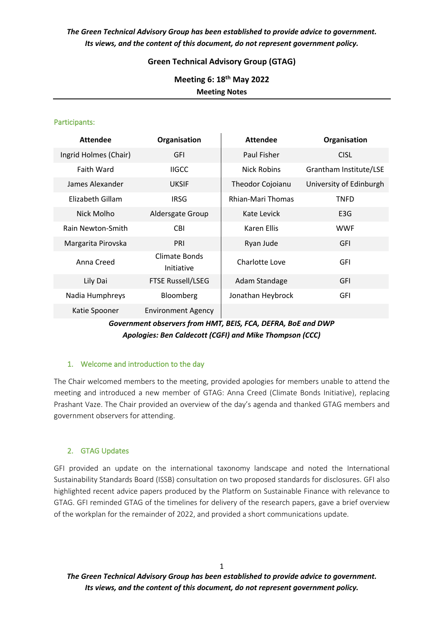# *The Green Technical Advisory Group has been established to provide advice to government. Its views, and the content of this document, do not represent government policy.*

## **Green Technical Advisory Group (GTAG)**

**Meeting 6: 18th May 2022 Meeting Notes**

#### Participants:

| <b>Attendee</b>       | Organisation                | <b>Attendee</b>   | Organisation            |
|-----------------------|-----------------------------|-------------------|-------------------------|
| Ingrid Holmes (Chair) | GFI                         | Paul Fisher       | <b>CISL</b>             |
| <b>Faith Ward</b>     | <b>IIGCC</b>                | Nick Robins       | Grantham Institute/LSE  |
| James Alexander       | <b>UKSIF</b>                | Theodor Cojoianu  | University of Edinburgh |
| Elizabeth Gillam      | <b>IRSG</b>                 | Rhian-Mari Thomas | <b>TNFD</b>             |
| Nick Molho            | Aldersgate Group            | Kate Levick       | E <sub>3</sub> G        |
| Rain Newton-Smith     | <b>CBI</b>                  | Karen Ellis       | <b>WWF</b>              |
| Margarita Pirovska    | PRI                         | Ryan Jude         | <b>GFI</b>              |
| Anna Creed            | Climate Bonds<br>Initiative | Charlotte Love    | <b>GFI</b>              |
| Lily Dai              | <b>FTSE Russell/LSEG</b>    | Adam Standage     | <b>GFI</b>              |
| Nadia Humphreys       | Bloomberg                   | Jonathan Heybrock | GFI                     |
| Katie Spooner         | <b>Environment Agency</b>   |                   |                         |

## *Government observers from HMT, BEIS, FCA, DEFRA, BoE and DWP Apologies: Ben Caldecott (CGFI) and Mike Thompson (CCC)*

## 1. Welcome and introduction to the day

The Chair welcomed members to the meeting, provided apologies for members unable to attend the meeting and introduced a new member of GTAG: Anna Creed (Climate Bonds Initiative), replacing Prashant Vaze. The Chair provided an overview of the day's agenda and thanked GTAG members and government observers for attending.

## 2. GTAG Updates

GFI provided an update on the international taxonomy landscape and noted the International Sustainability Standards Board (ISSB) consultation on two proposed standards for disclosures. GFI also highlighted recent advice papers produced by the Platform on Sustainable Finance with relevance to GTAG. GFI reminded GTAG of the timelines for delivery of the research papers, gave a brief overview of the workplan for the remainder of 2022, and provided a short communications update.

1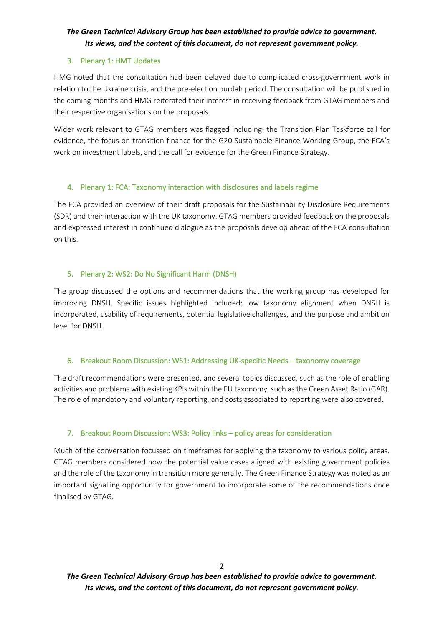# *The Green Technical Advisory Group has been established to provide advice to government. Its views, and the content of this document, do not represent government policy.*

#### 3. Plenary 1: HMT Updates

HMG noted that the consultation had been delayed due to complicated cross-government work in relation to the Ukraine crisis, and the pre-election purdah period. The consultation will be published in the coming months and HMG reiterated their interest in receiving feedback from GTAG members and their respective organisations on the proposals.

Wider work relevant to GTAG members was flagged including: the Transition Plan Taskforce call for evidence, the focus on transition finance for the G20 Sustainable Finance Working Group, the FCA's work on investment labels, and the call for evidence for the Green Finance Strategy.

## 4. Plenary 1: FCA: Taxonomy interaction with disclosures and labels regime

The FCA provided an overview of their draft proposals for the Sustainability Disclosure Requirements (SDR) and their interaction with the UK taxonomy. GTAG members provided feedback on the proposals and expressed interest in continued dialogue as the proposals develop ahead of the FCA consultation on this.

## 5. Plenary 2: WS2: Do No Significant Harm (DNSH)

The group discussed the options and recommendations that the working group has developed for improving DNSH. Specific issues highlighted included: low taxonomy alignment when DNSH is incorporated, usability of requirements, potential legislative challenges, and the purpose and ambition level for DNSH.

## 6. Breakout Room Discussion: WS1: Addressing UK-specific Needs – taxonomy coverage

The draft recommendations were presented, and several topics discussed, such as the role of enabling activities and problems with existing KPIs within the EU taxonomy, such as the Green Asset Ratio (GAR). The role of mandatory and voluntary reporting, and costs associated to reporting were also covered.

## 7. Breakout Room Discussion: WS3: Policy links – policy areas for consideration

Much of the conversation focussed on timeframes for applying the taxonomy to various policy areas. GTAG members considered how the potential value cases aligned with existing government policies and the role of the taxonomy in transition more generally. The Green Finance Strategy was noted as an important signalling opportunity for government to incorporate some of the recommendations once finalised by GTAG.

 $\overline{2}$